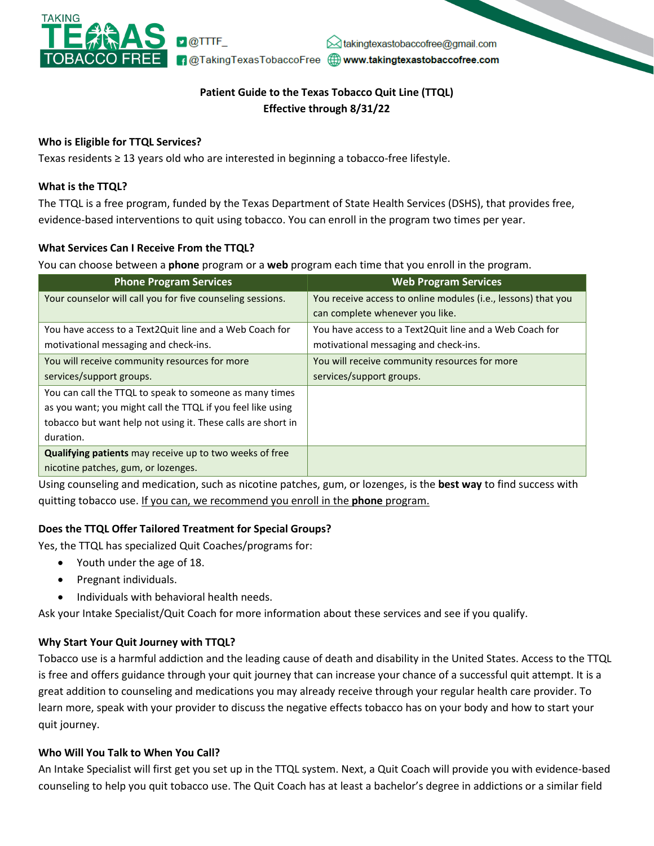

# **Patient Guide to the Texas Tobacco Quit Line (TTQL) Effective through 8/31/22**

### **Who is Eligible for TTQL Services?**

Texas residents ≥ 13 years old who are interested in beginning a tobacco-free lifestyle.

#### **What is the TTQL?**

The TTQL is a free program, funded by the Texas Department of State Health Services (DSHS), that provides free, evidence-based interventions to quit using tobacco. You can enroll in the program two times per year.

#### **What Services Can I Receive From the TTQL?**

You can choose between a **phone** program or a **web** program each time that you enroll in the program.

| <b>Phone Program Services</b>                                | <b>Web Program Services</b>                                   |
|--------------------------------------------------------------|---------------------------------------------------------------|
| Your counselor will call you for five counseling sessions.   | You receive access to online modules (i.e., lessons) that you |
|                                                              | can complete whenever you like.                               |
| You have access to a Text2Quit line and a Web Coach for      | You have access to a Text2Quit line and a Web Coach for       |
| motivational messaging and check-ins.                        | motivational messaging and check-ins.                         |
| You will receive community resources for more                | You will receive community resources for more                 |
| services/support groups.                                     | services/support groups.                                      |
| You can call the TTQL to speak to someone as many times      |                                                               |
| as you want; you might call the TTQL if you feel like using  |                                                               |
| tobacco but want help not using it. These calls are short in |                                                               |
| duration.                                                    |                                                               |
| Qualifying patients may receive up to two weeks of free      |                                                               |
| nicotine patches, gum, or lozenges.                          |                                                               |

Using counseling and medication, such as nicotine patches, gum, or lozenges, is the **best way** to find success with quitting tobacco use. If you can, we recommend you enroll in the **phone** program.

### **Does the TTQL Offer Tailored Treatment for Special Groups?**

Yes, the TTQL has specialized Quit Coaches/programs for:

- Youth under the age of 18.
- Pregnant individuals.
- Individuals with behavioral health needs.

Ask your Intake Specialist/Quit Coach for more information about these services and see if you qualify.

#### **Why Start Your Quit Journey with TTQL?**

Tobacco use is a harmful addiction and the leading cause of death and disability in the United States. Access to the TTQL is free and offers guidance through your quit journey that can increase your chance of a successful quit attempt. It is a great addition to counseling and medications you may already receive through your regular health care provider. To learn more, speak with your provider to discuss the negative effects tobacco has on your body and how to start your quit journey.

### **Who Will You Talk to When You Call?**

An Intake Specialist will first get you set up in the TTQL system. Next, a Quit Coach will provide you with evidence-based counseling to help you quit tobacco use. The Quit Coach has at least a bachelor's degree in addictions or a similar field